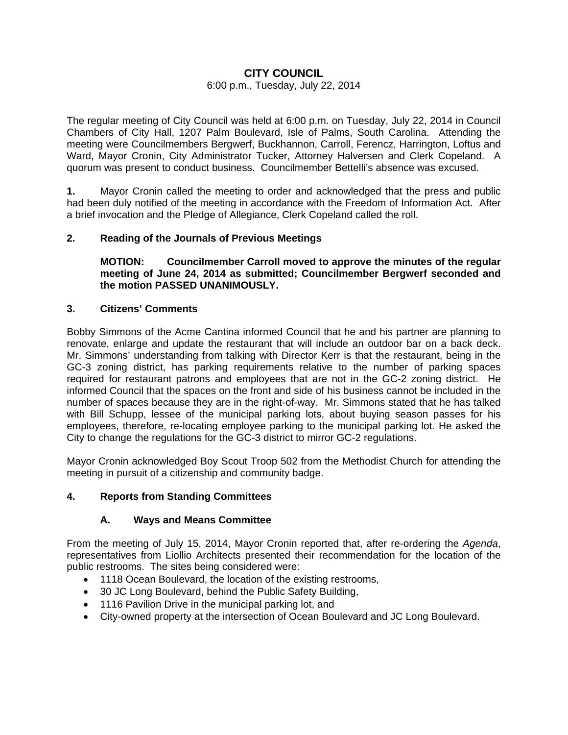# **CITY COUNCIL**

### 6:00 p.m., Tuesday, July 22, 2014

The regular meeting of City Council was held at 6:00 p.m. on Tuesday, July 22, 2014 in Council Chambers of City Hall, 1207 Palm Boulevard, Isle of Palms, South Carolina. Attending the meeting were Councilmembers Bergwerf, Buckhannon, Carroll, Ferencz, Harrington, Loftus and Ward, Mayor Cronin, City Administrator Tucker, Attorney Halversen and Clerk Copeland. A quorum was present to conduct business. Councilmember Bettelli's absence was excused.

**1.** Mayor Cronin called the meeting to order and acknowledged that the press and public had been duly notified of the meeting in accordance with the Freedom of Information Act. After a brief invocation and the Pledge of Allegiance, Clerk Copeland called the roll.

# **2. Reading of the Journals of Previous Meetings**

 **MOTION: Councilmember Carroll moved to approve the minutes of the regular meeting of June 24, 2014 as submitted; Councilmember Bergwerf seconded and the motion PASSED UNANIMOUSLY.** 

# **3. Citizens' Comments**

Bobby Simmons of the Acme Cantina informed Council that he and his partner are planning to renovate, enlarge and update the restaurant that will include an outdoor bar on a back deck. Mr. Simmons' understanding from talking with Director Kerr is that the restaurant, being in the GC-3 zoning district, has parking requirements relative to the number of parking spaces required for restaurant patrons and employees that are not in the GC-2 zoning district. He informed Council that the spaces on the front and side of his business cannot be included in the number of spaces because they are in the right-of-way. Mr. Simmons stated that he has talked with Bill Schupp, lessee of the municipal parking lots, about buying season passes for his employees, therefore, re-locating employee parking to the municipal parking lot. He asked the City to change the regulations for the GC-3 district to mirror GC-2 regulations.

Mayor Cronin acknowledged Boy Scout Troop 502 from the Methodist Church for attending the meeting in pursuit of a citizenship and community badge.

# **4. Reports from Standing Committees**

# **A. Ways and Means Committee**

From the meeting of July 15, 2014, Mayor Cronin reported that, after re-ordering the *Agenda*, representatives from Liollio Architects presented their recommendation for the location of the public restrooms. The sites being considered were:

- 1118 Ocean Boulevard, the location of the existing restrooms,
- 30 JC Long Boulevard, behind the Public Safety Building,
- 1116 Pavilion Drive in the municipal parking lot, and
- City-owned property at the intersection of Ocean Boulevard and JC Long Boulevard.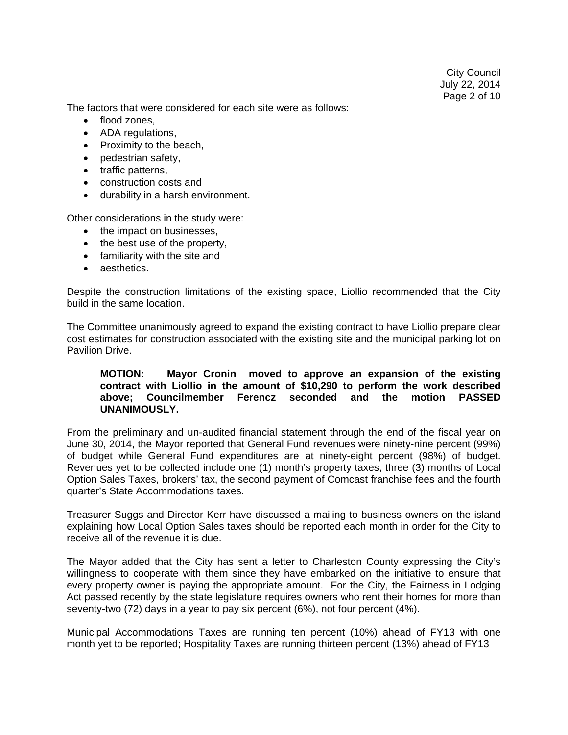The factors that were considered for each site were as follows:

- flood zones,
- ADA regulations,
- Proximity to the beach,
- pedestrian safety,
- traffic patterns,
- construction costs and
- durability in a harsh environment.

Other considerations in the study were:

- the impact on businesses.
- the best use of the property,
- familiarity with the site and
- aesthetics.

Despite the construction limitations of the existing space, Liollio recommended that the City build in the same location.

The Committee unanimously agreed to expand the existing contract to have Liollio prepare clear cost estimates for construction associated with the existing site and the municipal parking lot on Pavilion Drive.

### **MOTION: Mayor Cronin moved to approve an expansion of the existing contract with Liollio in the amount of \$10,290 to perform the work described above; Councilmember Ferencz seconded and the motion PASSED UNANIMOUSLY.**

From the preliminary and un-audited financial statement through the end of the fiscal year on June 30, 2014, the Mayor reported that General Fund revenues were ninety-nine percent (99%) of budget while General Fund expenditures are at ninety-eight percent (98%) of budget. Revenues yet to be collected include one (1) month's property taxes, three (3) months of Local Option Sales Taxes, brokers' tax, the second payment of Comcast franchise fees and the fourth quarter's State Accommodations taxes.

Treasurer Suggs and Director Kerr have discussed a mailing to business owners on the island explaining how Local Option Sales taxes should be reported each month in order for the City to receive all of the revenue it is due.

The Mayor added that the City has sent a letter to Charleston County expressing the City's willingness to cooperate with them since they have embarked on the initiative to ensure that every property owner is paying the appropriate amount. For the City, the Fairness in Lodging Act passed recently by the state legislature requires owners who rent their homes for more than seventy-two (72) days in a year to pay six percent (6%), not four percent (4%).

Municipal Accommodations Taxes are running ten percent (10%) ahead of FY13 with one month yet to be reported; Hospitality Taxes are running thirteen percent (13%) ahead of FY13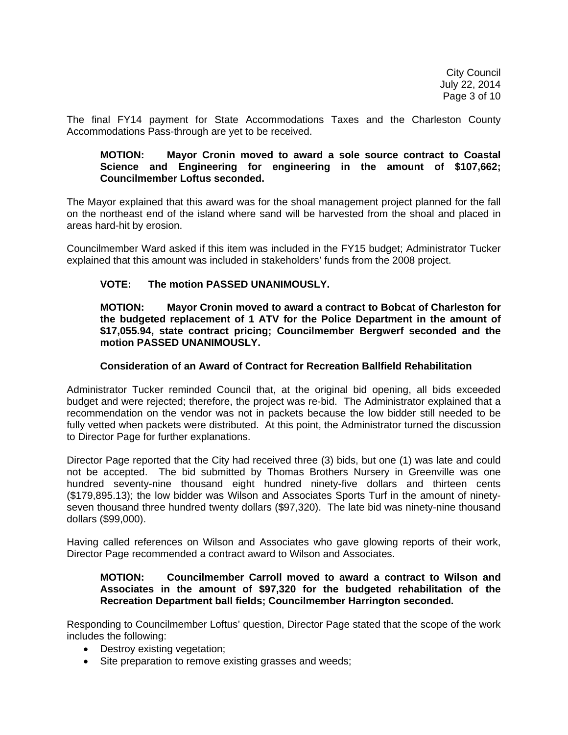The final FY14 payment for State Accommodations Taxes and the Charleston County Accommodations Pass-through are yet to be received.

#### **MOTION: Mayor Cronin moved to award a sole source contract to Coastal Science and Engineering for engineering in the amount of \$107,662; Councilmember Loftus seconded.**

The Mayor explained that this award was for the shoal management project planned for the fall on the northeast end of the island where sand will be harvested from the shoal and placed in areas hard-hit by erosion.

Councilmember Ward asked if this item was included in the FY15 budget; Administrator Tucker explained that this amount was included in stakeholders' funds from the 2008 project.

# **VOTE: The motion PASSED UNANIMOUSLY.**

 **MOTION: Mayor Cronin moved to award a contract to Bobcat of Charleston for the budgeted replacement of 1 ATV for the Police Department in the amount of \$17,055.94, state contract pricing; Councilmember Bergwerf seconded and the motion PASSED UNANIMOUSLY.** 

### **Consideration of an Award of Contract for Recreation Ballfield Rehabilitation**

Administrator Tucker reminded Council that, at the original bid opening, all bids exceeded budget and were rejected; therefore, the project was re-bid. The Administrator explained that a recommendation on the vendor was not in packets because the low bidder still needed to be fully vetted when packets were distributed. At this point, the Administrator turned the discussion to Director Page for further explanations.

Director Page reported that the City had received three (3) bids, but one (1) was late and could not be accepted. The bid submitted by Thomas Brothers Nursery in Greenville was one hundred seventy-nine thousand eight hundred ninety-five dollars and thirteen cents (\$179,895.13); the low bidder was Wilson and Associates Sports Turf in the amount of ninetyseven thousand three hundred twenty dollars (\$97,320). The late bid was ninety-nine thousand dollars (\$99,000).

Having called references on Wilson and Associates who gave glowing reports of their work, Director Page recommended a contract award to Wilson and Associates.

### **MOTION: Councilmember Carroll moved to award a contract to Wilson and Associates in the amount of \$97,320 for the budgeted rehabilitation of the Recreation Department ball fields; Councilmember Harrington seconded.**

Responding to Councilmember Loftus' question, Director Page stated that the scope of the work includes the following:

- Destroy existing vegetation;
- Site preparation to remove existing grasses and weeds;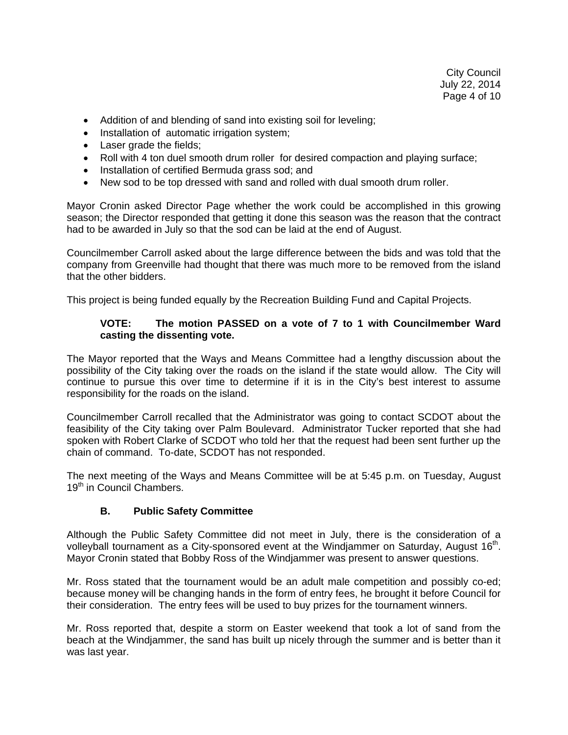- Addition of and blending of sand into existing soil for leveling;
- Installation of automatic irrigation system;
- Laser grade the fields;
- Roll with 4 ton duel smooth drum roller for desired compaction and playing surface;
- Installation of certified Bermuda grass sod; and
- New sod to be top dressed with sand and rolled with dual smooth drum roller.

Mayor Cronin asked Director Page whether the work could be accomplished in this growing season; the Director responded that getting it done this season was the reason that the contract had to be awarded in July so that the sod can be laid at the end of August.

Councilmember Carroll asked about the large difference between the bids and was told that the company from Greenville had thought that there was much more to be removed from the island that the other bidders.

This project is being funded equally by the Recreation Building Fund and Capital Projects.

# **VOTE: The motion PASSED on a vote of 7 to 1 with Councilmember Ward casting the dissenting vote.**

The Mayor reported that the Ways and Means Committee had a lengthy discussion about the possibility of the City taking over the roads on the island if the state would allow. The City will continue to pursue this over time to determine if it is in the City's best interest to assume responsibility for the roads on the island.

Councilmember Carroll recalled that the Administrator was going to contact SCDOT about the feasibility of the City taking over Palm Boulevard. Administrator Tucker reported that she had spoken with Robert Clarke of SCDOT who told her that the request had been sent further up the chain of command. To-date, SCDOT has not responded.

The next meeting of the Ways and Means Committee will be at 5:45 p.m. on Tuesday, August 19<sup>th</sup> in Council Chambers.

# **B. Public Safety Committee**

Although the Public Safety Committee did not meet in July, there is the consideration of a volleyball tournament as a City-sponsored event at the Windjammer on Saturday, August  $16<sup>th</sup>$ . Mayor Cronin stated that Bobby Ross of the Windjammer was present to answer questions.

Mr. Ross stated that the tournament would be an adult male competition and possibly co-ed; because money will be changing hands in the form of entry fees, he brought it before Council for their consideration. The entry fees will be used to buy prizes for the tournament winners.

Mr. Ross reported that, despite a storm on Easter weekend that took a lot of sand from the beach at the Windjammer, the sand has built up nicely through the summer and is better than it was last year.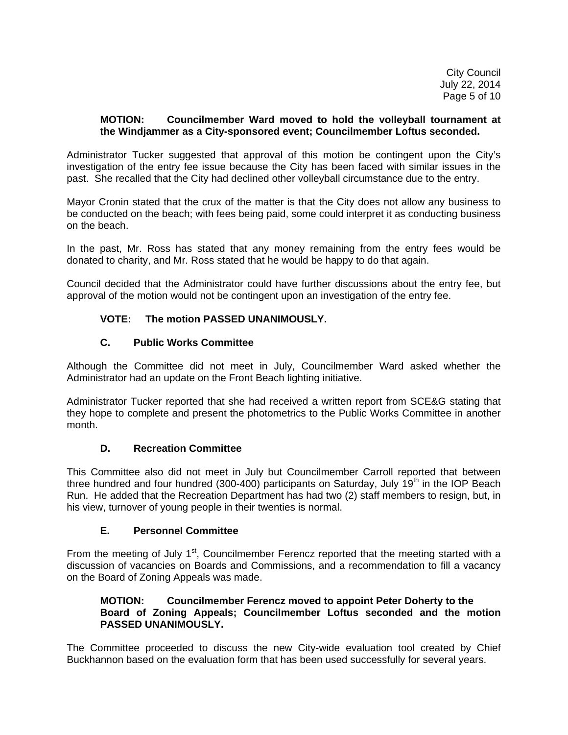City Council July 22, 2014 Page 5 of 10

### **MOTION: Councilmember Ward moved to hold the volleyball tournament at the Windjammer as a City-sponsored event; Councilmember Loftus seconded.**

Administrator Tucker suggested that approval of this motion be contingent upon the City's investigation of the entry fee issue because the City has been faced with similar issues in the past. She recalled that the City had declined other volleyball circumstance due to the entry.

Mayor Cronin stated that the crux of the matter is that the City does not allow any business to be conducted on the beach; with fees being paid, some could interpret it as conducting business on the beach.

In the past, Mr. Ross has stated that any money remaining from the entry fees would be donated to charity, and Mr. Ross stated that he would be happy to do that again.

Council decided that the Administrator could have further discussions about the entry fee, but approval of the motion would not be contingent upon an investigation of the entry fee.

# **VOTE: The motion PASSED UNANIMOUSLY.**

# **C. Public Works Committee**

Although the Committee did not meet in July, Councilmember Ward asked whether the Administrator had an update on the Front Beach lighting initiative.

Administrator Tucker reported that she had received a written report from SCE&G stating that they hope to complete and present the photometrics to the Public Works Committee in another month.

#### **D. Recreation Committee**

This Committee also did not meet in July but Councilmember Carroll reported that between three hundred and four hundred (300-400) participants on Saturday, July 19<sup>th</sup> in the IOP Beach Run. He added that the Recreation Department has had two (2) staff members to resign, but, in his view, turnover of young people in their twenties is normal.

# **E. Personnel Committee**

From the meeting of July 1<sup>st</sup>, Councilmember Ferencz reported that the meeting started with a discussion of vacancies on Boards and Commissions, and a recommendation to fill a vacancy on the Board of Zoning Appeals was made.

### **MOTION: Councilmember Ferencz moved to appoint Peter Doherty to the Board of Zoning Appeals; Councilmember Loftus seconded and the motion PASSED UNANIMOUSLY.**

The Committee proceeded to discuss the new City-wide evaluation tool created by Chief Buckhannon based on the evaluation form that has been used successfully for several years.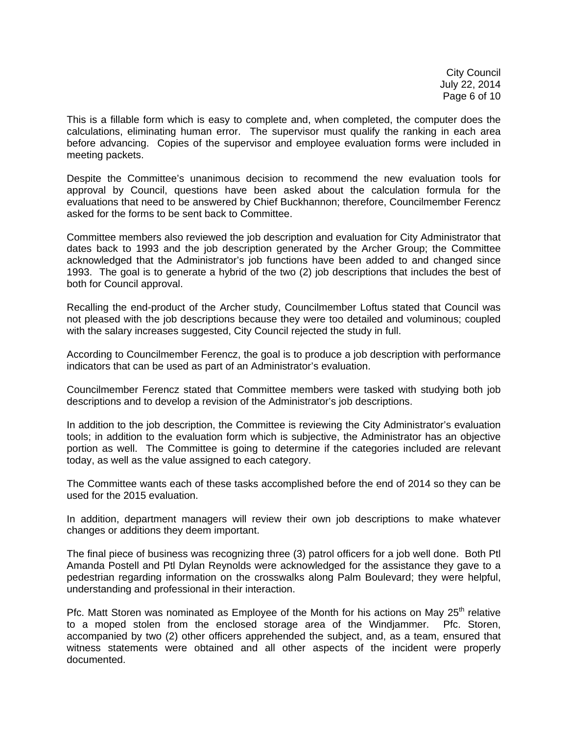City Council July 22, 2014 Page 6 of 10

This is a fillable form which is easy to complete and, when completed, the computer does the calculations, eliminating human error. The supervisor must qualify the ranking in each area before advancing. Copies of the supervisor and employee evaluation forms were included in meeting packets.

Despite the Committee's unanimous decision to recommend the new evaluation tools for approval by Council, questions have been asked about the calculation formula for the evaluations that need to be answered by Chief Buckhannon; therefore, Councilmember Ferencz asked for the forms to be sent back to Committee.

Committee members also reviewed the job description and evaluation for City Administrator that dates back to 1993 and the job description generated by the Archer Group; the Committee acknowledged that the Administrator's job functions have been added to and changed since 1993. The goal is to generate a hybrid of the two (2) job descriptions that includes the best of both for Council approval.

Recalling the end-product of the Archer study, Councilmember Loftus stated that Council was not pleased with the job descriptions because they were too detailed and voluminous; coupled with the salary increases suggested, City Council rejected the study in full.

According to Councilmember Ferencz, the goal is to produce a job description with performance indicators that can be used as part of an Administrator's evaluation.

Councilmember Ferencz stated that Committee members were tasked with studying both job descriptions and to develop a revision of the Administrator's job descriptions.

In addition to the job description, the Committee is reviewing the City Administrator's evaluation tools; in addition to the evaluation form which is subjective, the Administrator has an objective portion as well. The Committee is going to determine if the categories included are relevant today, as well as the value assigned to each category.

The Committee wants each of these tasks accomplished before the end of 2014 so they can be used for the 2015 evaluation.

In addition, department managers will review their own job descriptions to make whatever changes or additions they deem important.

The final piece of business was recognizing three (3) patrol officers for a job well done. Both Ptl Amanda Postell and Ptl Dylan Reynolds were acknowledged for the assistance they gave to a pedestrian regarding information on the crosswalks along Palm Boulevard; they were helpful, understanding and professional in their interaction.

Pfc. Matt Storen was nominated as Employee of the Month for his actions on May  $25<sup>th</sup>$  relative to a moped stolen from the enclosed storage area of the Windjammer. Pfc. Storen, accompanied by two (2) other officers apprehended the subject, and, as a team, ensured that witness statements were obtained and all other aspects of the incident were properly documented.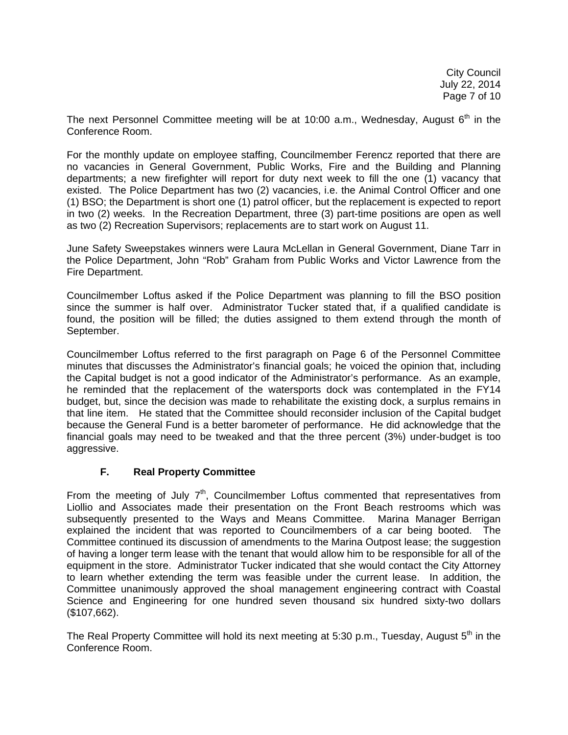The next Personnel Committee meeting will be at 10:00 a.m., Wednesday, August  $6<sup>th</sup>$  in the Conference Room.

For the monthly update on employee staffing, Councilmember Ferencz reported that there are no vacancies in General Government, Public Works, Fire and the Building and Planning departments; a new firefighter will report for duty next week to fill the one (1) vacancy that existed. The Police Department has two (2) vacancies, i.e. the Animal Control Officer and one (1) BSO; the Department is short one (1) patrol officer, but the replacement is expected to report in two (2) weeks. In the Recreation Department, three (3) part-time positions are open as well as two (2) Recreation Supervisors; replacements are to start work on August 11.

June Safety Sweepstakes winners were Laura McLellan in General Government, Diane Tarr in the Police Department, John "Rob" Graham from Public Works and Victor Lawrence from the Fire Department.

Councilmember Loftus asked if the Police Department was planning to fill the BSO position since the summer is half over. Administrator Tucker stated that, if a qualified candidate is found, the position will be filled; the duties assigned to them extend through the month of September.

Councilmember Loftus referred to the first paragraph on Page 6 of the Personnel Committee minutes that discusses the Administrator's financial goals; he voiced the opinion that, including the Capital budget is not a good indicator of the Administrator's performance. As an example, he reminded that the replacement of the watersports dock was contemplated in the FY14 budget, but, since the decision was made to rehabilitate the existing dock, a surplus remains in that line item. He stated that the Committee should reconsider inclusion of the Capital budget because the General Fund is a better barometer of performance. He did acknowledge that the financial goals may need to be tweaked and that the three percent (3%) under-budget is too aggressive.

# **F. Real Property Committee**

From the meeting of July  $7<sup>th</sup>$ , Councilmember Loftus commented that representatives from Liollio and Associates made their presentation on the Front Beach restrooms which was subsequently presented to the Ways and Means Committee. Marina Manager Berrigan explained the incident that was reported to Councilmembers of a car being booted. The Committee continued its discussion of amendments to the Marina Outpost lease; the suggestion of having a longer term lease with the tenant that would allow him to be responsible for all of the equipment in the store. Administrator Tucker indicated that she would contact the City Attorney to learn whether extending the term was feasible under the current lease. In addition, the Committee unanimously approved the shoal management engineering contract with Coastal Science and Engineering for one hundred seven thousand six hundred sixty-two dollars (\$107,662).

The Real Property Committee will hold its next meeting at 5:30 p.m., Tuesday, August  $5<sup>th</sup>$  in the Conference Room.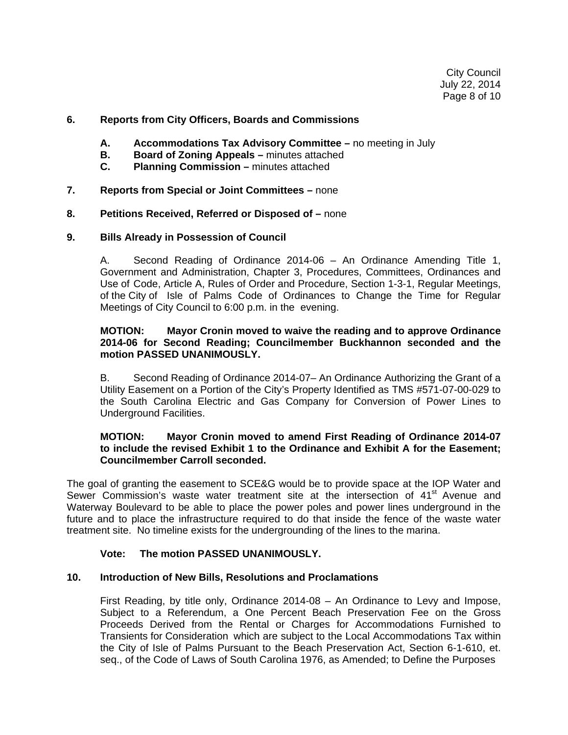### **6. Reports from City Officers, Boards and Commissions**

- **A. Accommodations Tax Advisory Committee** no meeting in July
- **B.** Board of Zoning Appeals minutes attached
- **C. Planning Commission** minutes attached
- **7. Reports from Special or Joint Committees** none

### **8. Petitions Received, Referred or Disposed of –** none

#### **9. Bills Already in Possession of Council**

 A. Second Reading of Ordinance 2014-06 – An Ordinance Amending Title 1, Government and Administration, Chapter 3, Procedures, Committees, Ordinances and Use of Code, Article A, Rules of Order and Procedure, Section 1-3-1, Regular Meetings, of the City of Isle of Palms Code of Ordinances to Change the Time for Regular Meetings of City Council to 6:00 p.m. in the evening.

#### **MOTION: Mayor Cronin moved to waive the reading and to approve Ordinance 2014-06 for Second Reading; Councilmember Buckhannon seconded and the motion PASSED UNANIMOUSLY.**

B. Second Reading of Ordinance 2014-07– An Ordinance Authorizing the Grant of a Utility Easement on a Portion of the City's Property Identified as TMS #571-07-00-029 to the South Carolina Electric and Gas Company for Conversion of Power Lines to Underground Facilities.

### **MOTION: Mayor Cronin moved to amend First Reading of Ordinance 2014-07 to include the revised Exhibit 1 to the Ordinance and Exhibit A for the Easement; Councilmember Carroll seconded.**

The goal of granting the easement to SCE&G would be to provide space at the IOP Water and Sewer Commission's waste water treatment site at the intersection of 41<sup>st</sup> Avenue and Waterway Boulevard to be able to place the power poles and power lines underground in the future and to place the infrastructure required to do that inside the fence of the waste water treatment site. No timeline exists for the undergrounding of the lines to the marina.

# **Vote: The motion PASSED UNANIMOUSLY.**

#### **10. Introduction of New Bills, Resolutions and Proclamations**

First Reading, by title only, Ordinance 2014-08 – An Ordinance to Levy and Impose, Subject to a Referendum, a One Percent Beach Preservation Fee on the Gross Proceeds Derived from the Rental or Charges for Accommodations Furnished to Transients for Consideration which are subject to the Local Accommodations Tax within the City of Isle of Palms Pursuant to the Beach Preservation Act, Section 6-1-610, et. seq., of the Code of Laws of South Carolina 1976, as Amended; to Define the Purposes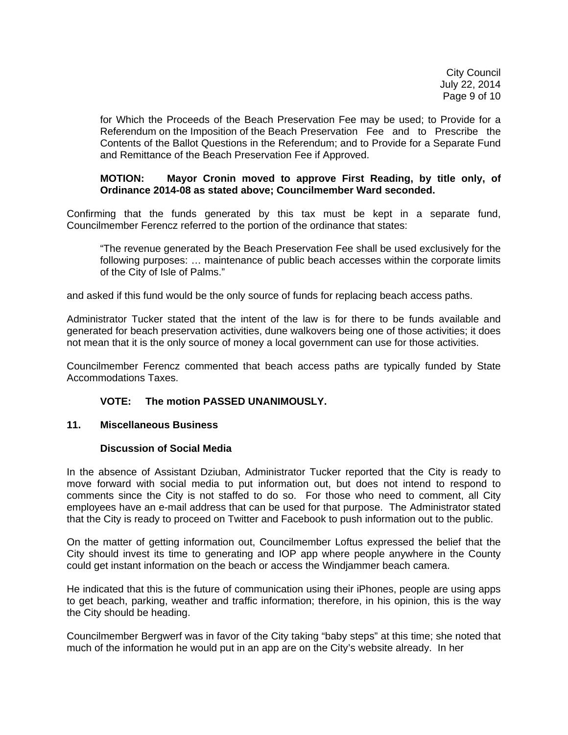for Which the Proceeds of the Beach Preservation Fee may be used; to Provide for a Referendum on the Imposition of the Beach Preservation Fee and to Prescribe the Contents of the Ballot Questions in the Referendum; and to Provide for a Separate Fund and Remittance of the Beach Preservation Fee if Approved.

### **MOTION: Mayor Cronin moved to approve First Reading, by title only, of Ordinance 2014-08 as stated above; Councilmember Ward seconded.**

Confirming that the funds generated by this tax must be kept in a separate fund, Councilmember Ferencz referred to the portion of the ordinance that states:

 "The revenue generated by the Beach Preservation Fee shall be used exclusively for the following purposes: … maintenance of public beach accesses within the corporate limits of the City of Isle of Palms."

and asked if this fund would be the only source of funds for replacing beach access paths.

Administrator Tucker stated that the intent of the law is for there to be funds available and generated for beach preservation activities, dune walkovers being one of those activities; it does not mean that it is the only source of money a local government can use for those activities.

Councilmember Ferencz commented that beach access paths are typically funded by State Accommodations Taxes.

#### **VOTE: The motion PASSED UNANIMOUSLY.**

#### **11. Miscellaneous Business**

#### **Discussion of Social Media**

In the absence of Assistant Dziuban, Administrator Tucker reported that the City is ready to move forward with social media to put information out, but does not intend to respond to comments since the City is not staffed to do so. For those who need to comment, all City employees have an e-mail address that can be used for that purpose. The Administrator stated that the City is ready to proceed on Twitter and Facebook to push information out to the public.

On the matter of getting information out, Councilmember Loftus expressed the belief that the City should invest its time to generating and IOP app where people anywhere in the County could get instant information on the beach or access the Windjammer beach camera.

He indicated that this is the future of communication using their iPhones, people are using apps to get beach, parking, weather and traffic information; therefore, in his opinion, this is the way the City should be heading.

Councilmember Bergwerf was in favor of the City taking "baby steps" at this time; she noted that much of the information he would put in an app are on the City's website already. In her